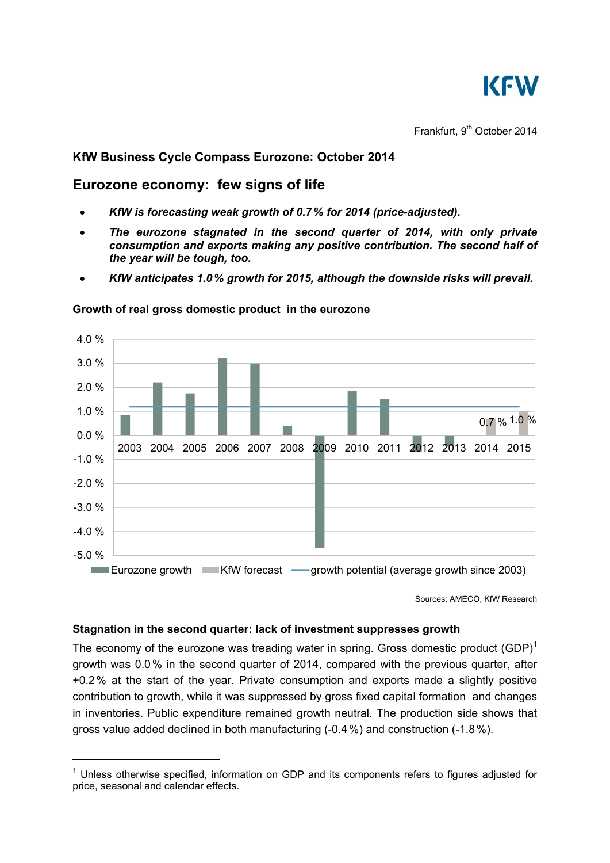

Frankfurt, 9<sup>th</sup> October 2014

# **KfW Business Cycle Compass Eurozone: October 2014**

# **Eurozone economy: few signs of life**

- *KfW is forecasting weak growth of 0.7% for 2014 (price-adjusted).*
- *The eurozone stagnated in the second quarter of 2014, with only private consumption and exports making any positive contribution. The second half of the year will be tough, too.*
- *KfW anticipates 1.0% growth for 2015, although the downside risks will prevail.*



### **Growth of real gross domestic product in the eurozone**

Sources: AMECO, KfW Research

## **Stagnation in the second quarter: lack of investment suppresses growth**

-

The economy of the eurozone was treading water in spring. Gross domestic product  $(GDP)^1$ growth was 0.0% in the second quarter of 2014, compared with the previous quarter, after +0.2% at the start of the year. Private consumption and exports made a slightly positive contribution to growth, while it was suppressed by gross fixed capital formation and changes in inventories. Public expenditure remained growth neutral. The production side shows that gross value added declined in both manufacturing (-0.4%) and construction (-1.8%).

 $1$  Unless otherwise specified, information on GDP and its components refers to figures adjusted for price, seasonal and calendar effects.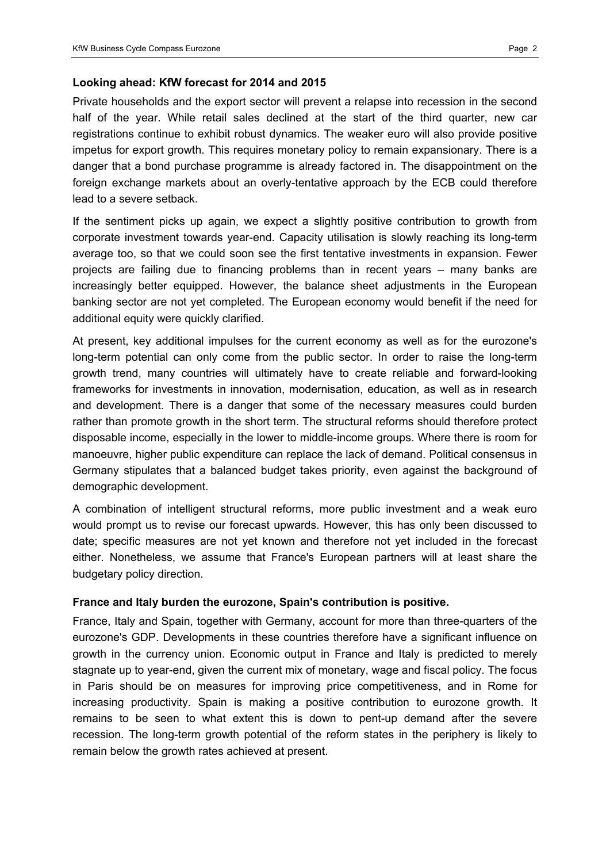### **Looking ahead: KfW forecast for 2014 and 2015**

Private households and the export sector will prevent a relapse into recession in the second half of the year. While retail sales declined at the start of the third quarter, new car registrations continue to exhibit robust dynamics. The weaker euro will also provide positive impetus for export growth. This requires monetary policy to remain expansionary. There is a danger that a bond purchase programme is already factored in. The disappointment on the foreign exchange markets about an overly-tentative approach by the ECB could therefore lead to a severe setback.

If the sentiment picks up again, we expect a slightly positive contribution to growth from corporate investment towards year-end. Capacity utilisation is slowly reaching its long-term average too, so that we could soon see the first tentative investments in expansion. Fewer projects are failing due to financing problems than in recent years  $-$  many banks are increasingly better equipped. However, the balance sheet adjustments in the European banking sector are not yet completed. The European economy would benefit if the need for additional equity were quickly clarified.

At present, key additional impulses for the current economy as well as for the eurozone's long-term potential can only come from the public sector. In order to raise the long-term growth trend, many countries will ultimately have to create reliable and forward-looking frameworks for investments in innovation, modernisation, education, as well as in research and development. There is a danger that some of the necessary measures could burden rather than promote growth in the short term. The structural reforms should therefore protect disposable income, especially in the lower to middle-income groups. Where there is room for manoeuvre, higher public expenditure can replace the lack of demand. Political consensus in Germany stipulates that a balanced budget takes priority, even against the background of demographic development.

A combination of intelligent structural reforms, more public investment and a weak euro would prompt us to revise our forecast upwards. However, this has only been discussed to date; specific measures are not yet known and therefore not yet included in the forecast either. Nonetheless, we assume that France's European partners will at least share the budgetary policy direction.

### **France and Italy burden the eurozone, Spain's contribution is positive.**

France, Italy and Spain, together with Germany, account for more than three-quarters of the eurozone's GDP. Developments in these countries therefore have a significant influence on growth in the currency union. Economic output in France and Italy is predicted to merely stagnate up to year-end, given the current mix of monetary, wage and fiscal policy. The focus in Paris should be on measures for improving price competitiveness, and in Rome for increasing productivity. Spain is making a positive contribution to eurozone growth. It remains to be seen to what extent this is down to pent-up demand after the severe recession. The long-term growth potential of the reform states in the periphery is likely to remain below the growth rates achieved at present.